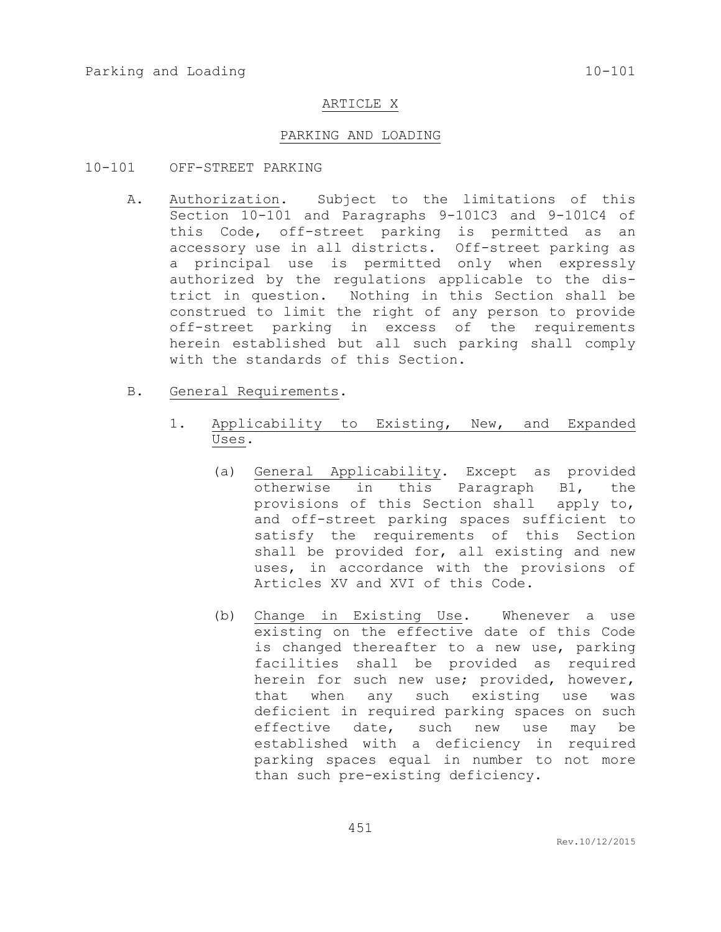## ARTICLE X

## PARKING AND LOADING

- 10-101 OFF-STREET PARKING
	- A. Authorization. Subject to the limitations of this Section 10-101 and Paragraphs 9-101C3 and 9-101C4 of this Code, off-street parking is permitted as an accessory use in all districts. Off-street parking as a principal use is permitted only when expressly authorized by the regulations applicable to the district in question. Nothing in this Section shall be construed to limit the right of any person to provide off-street parking in excess of the requirements herein established but all such parking shall comply with the standards of this Section.
	- B. General Requirements.
		- 1. Applicability to Existing, New, and Expanded Uses.
			- (a) General Applicability. Except as provided otherwise in this Paragraph B1, the provisions of this Section shall apply to, and off-street parking spaces sufficient to satisfy the requirements of this Section shall be provided for, all existing and new uses, in accordance with the provisions of Articles XV and XVI of this Code.
			- (b) Change in Existing Use. Whenever a use existing on the effective date of this Code is changed thereafter to a new use, parking facilities shall be provided as required herein for such new use; provided, however, that when any such existing use was deficient in required parking spaces on such effective date, such new use may be established with a deficiency in required parking spaces equal in number to not more than such pre-existing deficiency.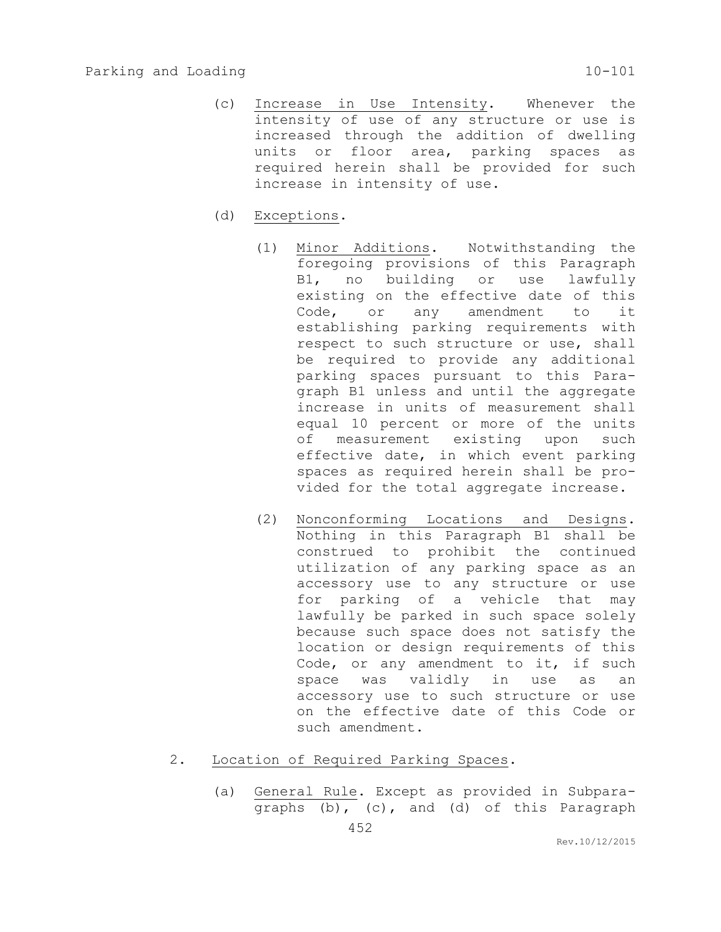- (c) Increase in Use Intensity. Whenever the intensity of use of any structure or use is increased through the addition of dwelling units or floor area, parking spaces as required herein shall be provided for such increase in intensity of use.
- (d) Exceptions.
	- (1) Minor Additions. Notwithstanding the foregoing provisions of this Paragraph B1, no building or use lawfully existing on the effective date of this Code, or any amendment to it establishing parking requirements with respect to such structure or use, shall be required to provide any additional parking spaces pursuant to this Paragraph B1 unless and until the aggregate increase in units of measurement shall equal 10 percent or more of the units of measurement existing upon such effective date, in which event parking spaces as required herein shall be provided for the total aggregate increase.
	- (2) Nonconforming Locations and Designs. Nothing in this Paragraph B1 shall be construed to prohibit the continued utilization of any parking space as an accessory use to any structure or use for parking of a vehicle that may lawfully be parked in such space solely because such space does not satisfy the location or design requirements of this Code, or any amendment to it, if such space was validly in use as an accessory use to such structure or use on the effective date of this Code or such amendment.
- 2. Location of Required Parking Spaces.
	- (a) General Rule. Except as provided in Subparagraphs (b), (c), and (d) of this Paragraph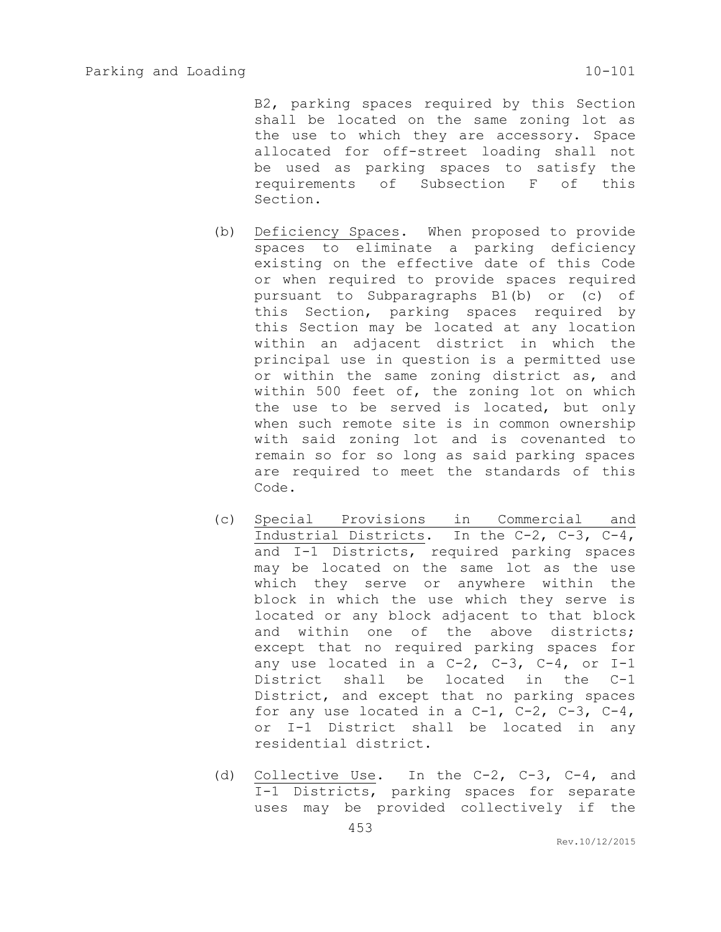B2, parking spaces required by this Section shall be located on the same zoning lot as the use to which they are accessory. Space allocated for off-street loading shall not be used as parking spaces to satisfy the requirements of Subsection F of this Section.

- (b) Deficiency Spaces. When proposed to provide spaces to eliminate a parking deficiency existing on the effective date of this Code or when required to provide spaces required pursuant to Subparagraphs B1(b) or (c) of this Section, parking spaces required by this Section may be located at any location within an adjacent district in which the principal use in question is a permitted use or within the same zoning district as, and within 500 feet of, the zoning lot on which the use to be served is located, but only when such remote site is in common ownership with said zoning lot and is covenanted to remain so for so long as said parking spaces are required to meet the standards of this Code.
- (c) Special Provisions in Commercial and Industrial Districts. In the C-2, C-3, C-4, and I-1 Districts, required parking spaces may be located on the same lot as the use which they serve or anywhere within the block in which the use which they serve is located or any block adjacent to that block and within one of the above districts; except that no required parking spaces for any use located in a  $C-2$ ,  $C-3$ ,  $C-4$ , or  $I-1$ District shall be located in the C-1 District, and except that no parking spaces for any use located in a  $C-1$ ,  $C-2$ ,  $C-3$ ,  $C-4$ , or I-1 District shall be located in any residential district.
- (d) Collective Use. In the C-2, C-3, C-4, and I-1 Districts, parking spaces for separate uses may be provided collectively if the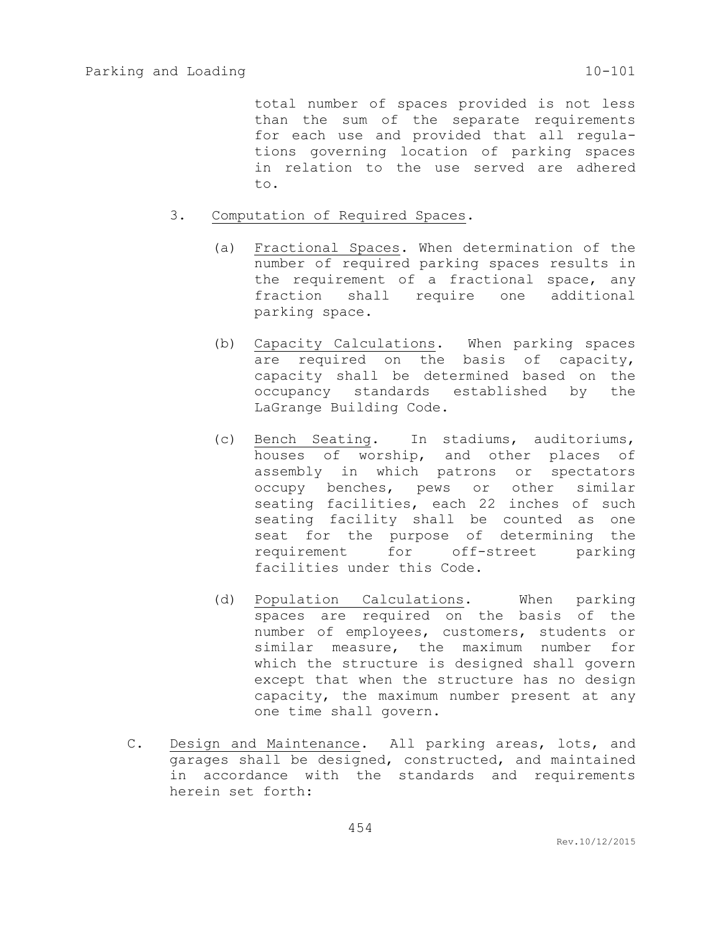total number of spaces provided is not less than the sum of the separate requirements for each use and provided that all regulations governing location of parking spaces in relation to the use served are adhered to.

- 3. Computation of Required Spaces.
	- (a) Fractional Spaces. When determination of the number of required parking spaces results in the requirement of a fractional space, any fraction shall require one additional parking space.
	- (b) Capacity Calculations. When parking spaces are required on the basis of capacity, capacity shall be determined based on the occupancy standards established by the LaGrange Building Code.
	- (c) Bench Seating. In stadiums, auditoriums, houses of worship, and other places of assembly in which patrons or spectators occupy benches, pews or other similar seating facilities, each 22 inches of such seating facility shall be counted as one seat for the purpose of determining the requirement for off-street parking facilities under this Code.
	- (d) Population Calculations. When parking spaces are required on the basis of the number of employees, customers, students or similar measure, the maximum number for which the structure is designed shall govern except that when the structure has no design capacity, the maximum number present at any one time shall govern.
- C. Design and Maintenance. All parking areas, lots, and garages shall be designed, constructed, and maintained in accordance with the standards and requirements herein set forth: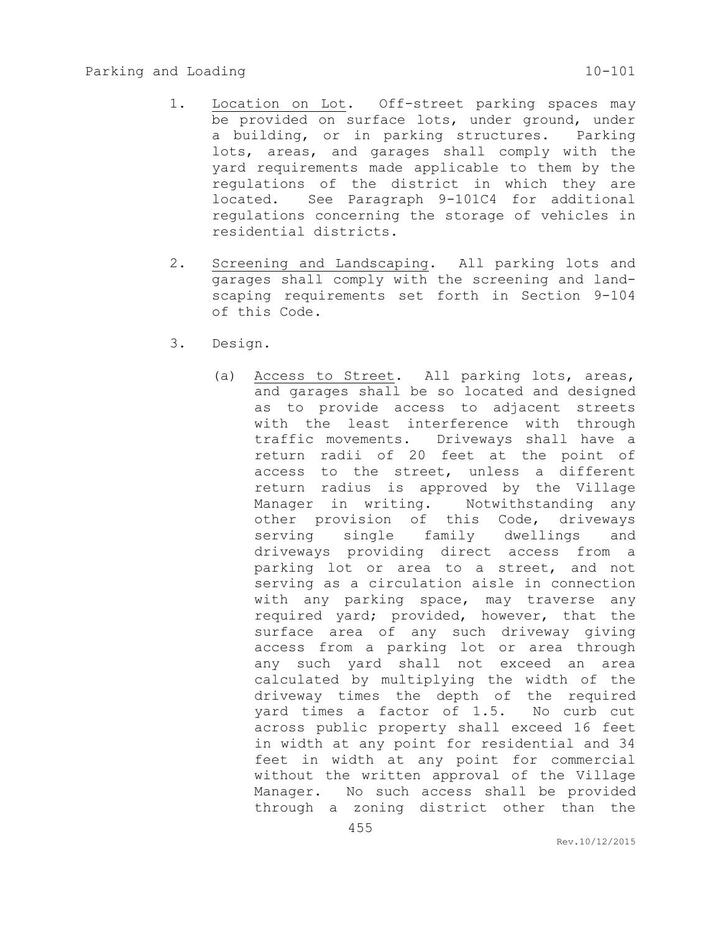- 1. Location on Lot. Off-street parking spaces may be provided on surface lots, under ground, under a building, or in parking structures. Parking lots, areas, and garages shall comply with the yard requirements made applicable to them by the regulations of the district in which they are located. See Paragraph 9-101C4 for additional regulations concerning the storage of vehicles in residential districts.
- 2. Screening and Landscaping. All parking lots and garages shall comply with the screening and landscaping requirements set forth in Section 9-104 of this Code.
- 3. Design.
	- (a) Access to Street. All parking lots, areas, and garages shall be so located and designed as to provide access to adjacent streets with the least interference with through traffic movements. Driveways shall have a return radii of 20 feet at the point of access to the street, unless a different return radius is approved by the Village Manager in writing. Notwithstanding any other provision of this Code, driveways serving single family dwellings and driveways providing direct access from a parking lot or area to a street, and not serving as a circulation aisle in connection with any parking space, may traverse any required yard; provided, however, that the surface area of any such driveway giving access from a parking lot or area through any such yard shall not exceed an area calculated by multiplying the width of the driveway times the depth of the required yard times a factor of 1.5. No curb cut across public property shall exceed 16 feet in width at any point for residential and 34 feet in width at any point for commercial without the written approval of the Village Manager. No such access shall be provided through a zoning district other than the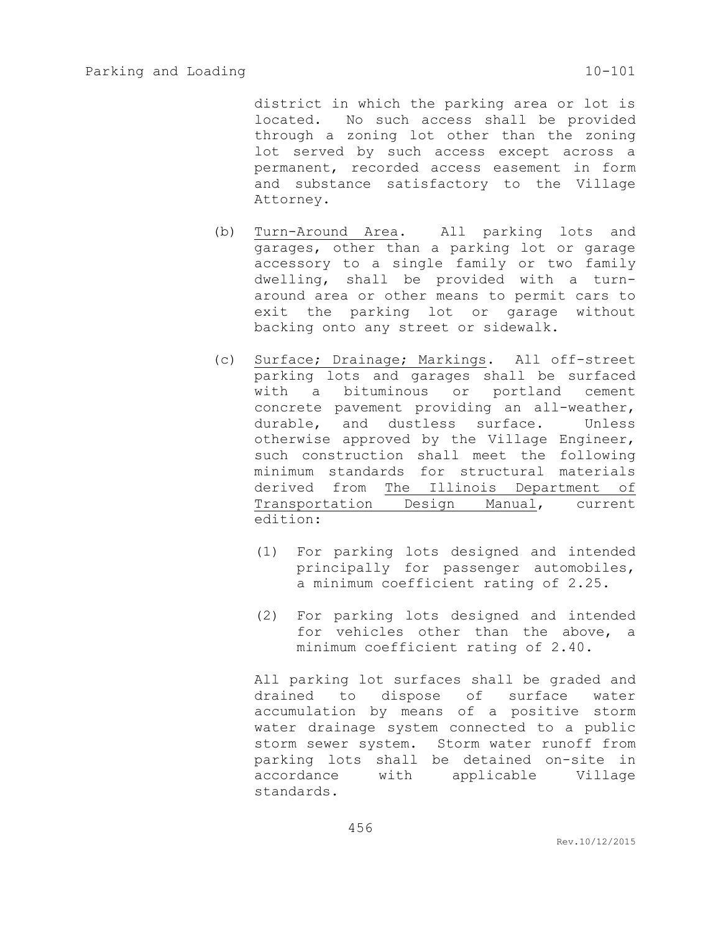district in which the parking area or lot is located. No such access shall be provided through a zoning lot other than the zoning lot served by such access except across a permanent, recorded access easement in form and substance satisfactory to the Village Attorney.

- (b) Turn-Around Area. All parking lots and garages, other than a parking lot or garage accessory to a single family or two family dwelling, shall be provided with a turnaround area or other means to permit cars to exit the parking lot or garage without backing onto any street or sidewalk.
- (c) Surface; Drainage; Markings. All off-street parking lots and garages shall be surfaced with a bituminous or portland cement concrete pavement providing an all-weather, durable, and dustless surface. Unless otherwise approved by the Village Engineer, such construction shall meet the following minimum standards for structural materials derived from The Illinois Department of Transportation Design Manual, current edition:
	- (1) For parking lots designed and intended principally for passenger automobiles, a minimum coefficient rating of 2.25.
	- (2) For parking lots designed and intended for vehicles other than the above, a minimum coefficient rating of 2.40.

All parking lot surfaces shall be graded and drained to dispose of surface water accumulation by means of a positive storm water drainage system connected to a public storm sewer system. Storm water runoff from parking lots shall be detained on-site in accordance with applicable Village standards.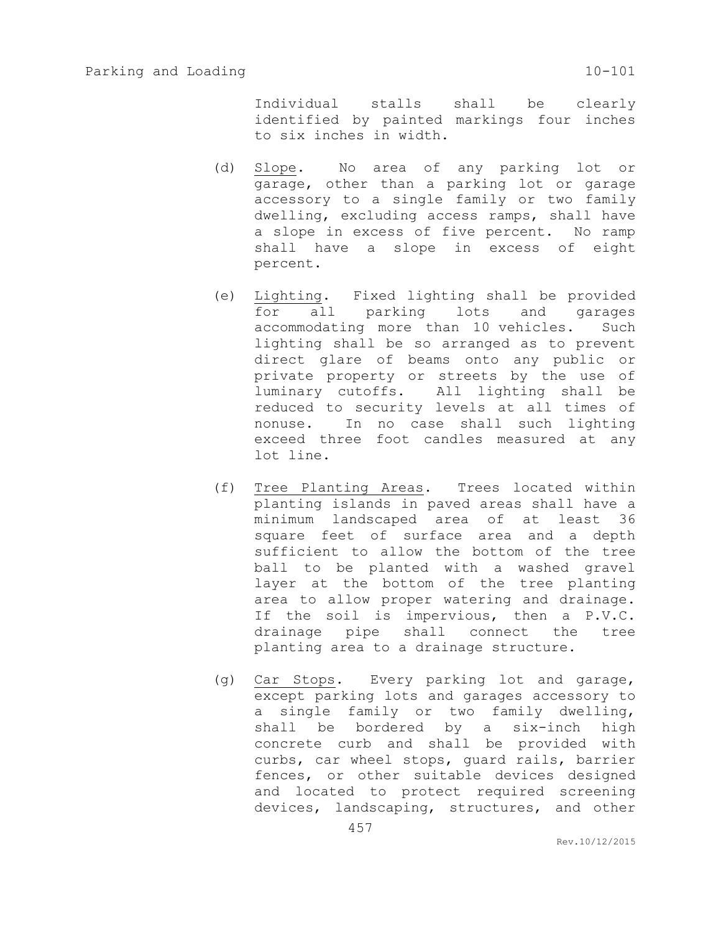Individual stalls shall be clearly identified by painted markings four inches to six inches in width.

- (d) Slope. No area of any parking lot or garage, other than a parking lot or garage accessory to a single family or two family dwelling, excluding access ramps, shall have a slope in excess of five percent. No ramp shall have a slope in excess of eight percent.
- (e) Lighting. Fixed lighting shall be provided for all parking lots and garages accommodating more than 10 vehicles. Such lighting shall be so arranged as to prevent direct glare of beams onto any public or private property or streets by the use of luminary cutoffs. All lighting shall be reduced to security levels at all times of nonuse. In no case shall such lighting exceed three foot candles measured at any lot line.
- (f) Tree Planting Areas. Trees located within planting islands in paved areas shall have a minimum landscaped area of at least 36 square feet of surface area and a depth sufficient to allow the bottom of the tree ball to be planted with a washed gravel layer at the bottom of the tree planting area to allow proper watering and drainage. If the soil is impervious, then a P.V.C. drainage pipe shall connect the tree planting area to a drainage structure.
- (g) Car Stops. Every parking lot and garage, except parking lots and garages accessory to a single family or two family dwelling, shall be bordered by a six-inch high concrete curb and shall be provided with curbs, car wheel stops, guard rails, barrier fences, or other suitable devices designed and located to protect required screening devices, landscaping, structures, and other

457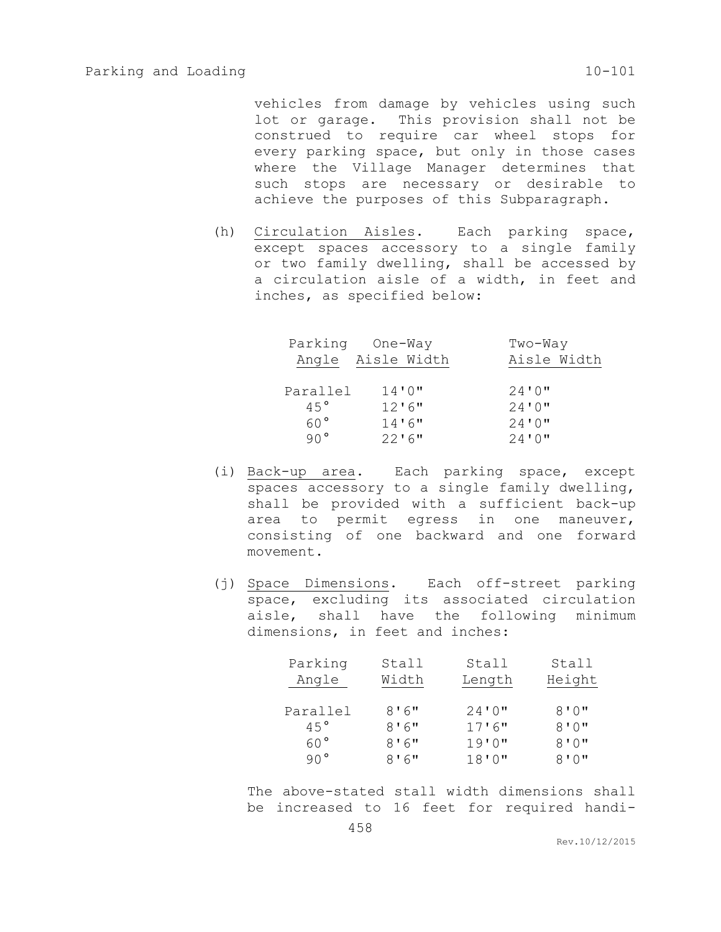vehicles from damage by vehicles using such lot or garage. This provision shall not be construed to require car wheel stops for every parking space, but only in those cases where the Village Manager determines that such stops are necessary or desirable to achieve the purposes of this Subparagraph.

(h) Circulation Aisles. Each parking space, except spaces accessory to a single family or two family dwelling, shall be accessed by a circulation aisle of a width, in feet and inches, as specified below:

| Parking      | One-Way           | Two-Way     |
|--------------|-------------------|-------------|
|              | Angle Aisle Width | Aisle Width |
|              |                   |             |
| Parallel     | 14'0''            | 24'0''      |
| 45°          | 12'6''            | 24'0''      |
| 60°          | 14'6''            | 24'0''      |
| $90^{\circ}$ | $22'$ 6"          | 24'0''      |

- (i) Back-up area. Each parking space, except spaces accessory to a single family dwelling, shall be provided with a sufficient back-up area to permit egress in one maneuver, consisting of one backward and one forward movement.
- (j) Space Dimensions. Each off-street parking space, excluding its associated circulation aisle, shall have the following minimum dimensions, in feet and inches:

| Parking         | Stall | Stall  | Stall  |
|-----------------|-------|--------|--------|
| Angle           | Width | Length | Height |
|                 |       |        |        |
| Parallel        | 8'6'' | 24'0'' | 8'0''  |
| 45°             | 8'6'' | 17'6'' | 8'0''  |
| 60 <sup>o</sup> | 8'6'' | 19'0'' | 8'0''  |
| $90^{\circ}$    | 8'6'' | 18'0'' | 8'0''  |

The above-stated stall width dimensions shall be increased to 16 feet for required handi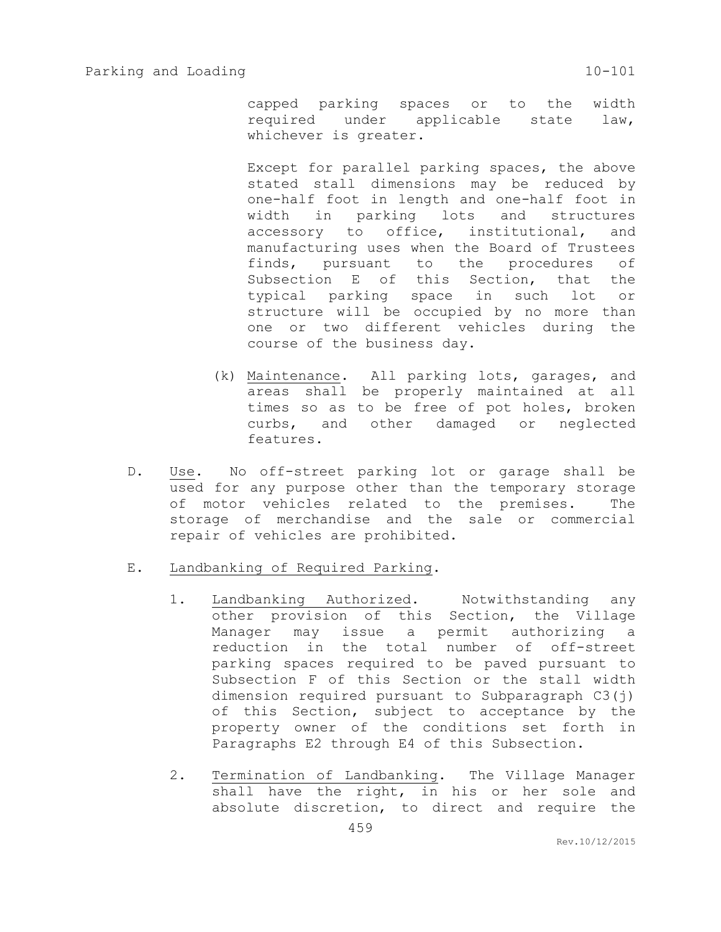capped parking spaces or to the width required under applicable state law, whichever is greater.

Except for parallel parking spaces, the above stated stall dimensions may be reduced by one-half foot in length and one-half foot in width in parking lots and structures accessory to office, institutional, and manufacturing uses when the Board of Trustees finds, pursuant to the procedures of Subsection E of this Section, that the typical parking space in such lot or structure will be occupied by no more than one or two different vehicles during the course of the business day.

- (k) Maintenance. All parking lots, garages, and areas shall be properly maintained at all times so as to be free of pot holes, broken curbs, and other damaged or neglected features.
- D. Use. No off-street parking lot or garage shall be used for any purpose other than the temporary storage of motor vehicles related to the premises. The storage of merchandise and the sale or commercial repair of vehicles are prohibited.
- E. Landbanking of Required Parking.
	- 1. Landbanking Authorized. Notwithstanding any other provision of this Section, the Village Manager may issue a permit authorizing a reduction in the total number of off-street parking spaces required to be paved pursuant to Subsection F of this Section or the stall width dimension required pursuant to Subparagraph C3(j) of this Section, subject to acceptance by the property owner of the conditions set forth in Paragraphs E2 through E4 of this Subsection.
	- 2. Termination of Landbanking. The Village Manager shall have the right, in his or her sole and absolute discretion, to direct and require the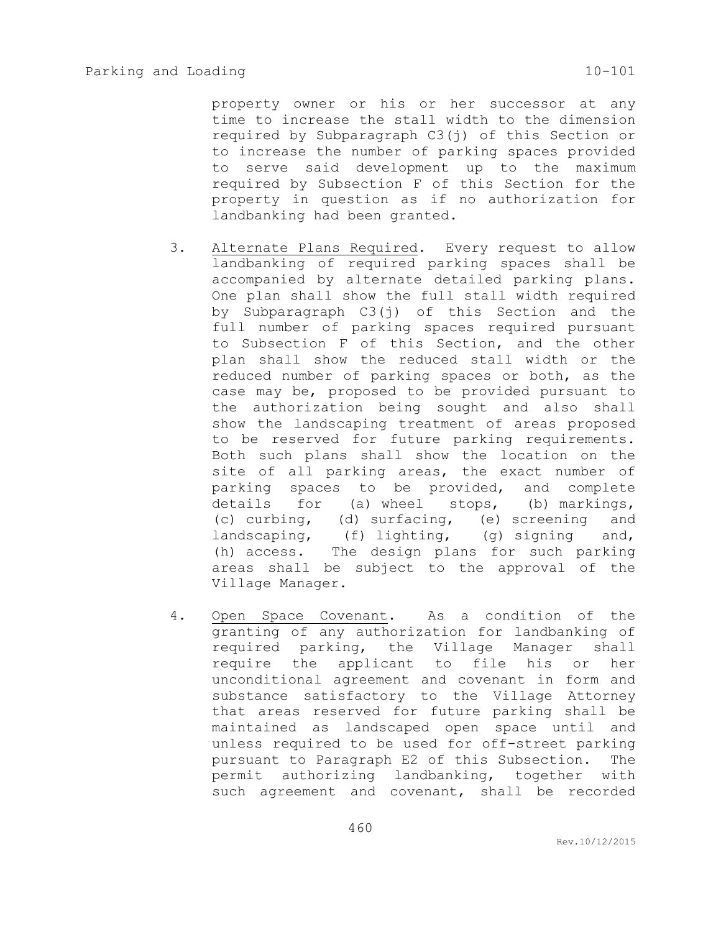property owner or his or her successor at any time to increase the stall width to the dimension required by Subparagraph C3(j) of this Section or to increase the number of parking spaces provided to serve said development up to the maximum required by Subsection F of this Section for the property in question as if no authorization for landbanking had been granted.

- 3. Alternate Plans Required. Every request to allow landbanking of required parking spaces shall be accompanied by alternate detailed parking plans. One plan shall show the full stall width required by Subparagraph C3(j) of this Section and the full number of parking spaces required pursuant to Subsection F of this Section, and the other plan shall show the reduced stall width or the reduced number of parking spaces or both, as the case may be, proposed to be provided pursuant to the authorization being sought and also shall show the landscaping treatment of areas proposed to be reserved for future parking requirements. Both such plans shall show the location on the site of all parking areas, the exact number of parking spaces to be provided, and complete details for (a) wheel stops, (b) markings, (c) curbing, (d) surfacing, (e) screening and landscaping, (f) lighting, (g) signing and, (h) access. The design plans for such parking areas shall be subject to the approval of the Village Manager.
- 4. Open Space Covenant. As a condition of the granting of any authorization for landbanking of required parking, the Village Manager shall require the applicant to file his or her unconditional agreement and covenant in form and substance satisfactory to the Village Attorney that areas reserved for future parking shall be maintained as landscaped open space until and unless required to be used for off-street parking pursuant to Paragraph E2 of this Subsection. The permit authorizing landbanking, together with such agreement and covenant, shall be recorded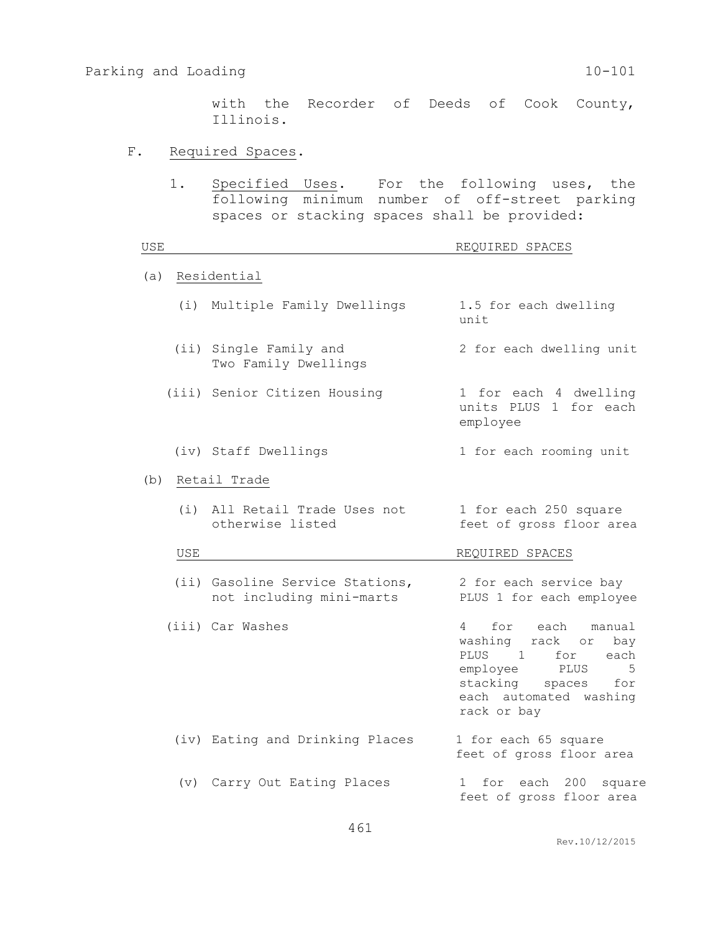with the Recorder of Deeds of Cook County, Illinois.

## F. Required Spaces.

1. Specified Uses. For the following uses, the following minimum number of off-street parking spaces or stacking spaces shall be provided:

| USE |                                                             | REQUIRED SPACES                                                                                                                                                                               |  |  |  |
|-----|-------------------------------------------------------------|-----------------------------------------------------------------------------------------------------------------------------------------------------------------------------------------------|--|--|--|
| (a) | Residential                                                 |                                                                                                                                                                                               |  |  |  |
|     | (i) Multiple Family Dwellings                               | 1.5 for each dwelling<br>unit                                                                                                                                                                 |  |  |  |
|     | (ii) Single Family and<br>Two Family Dwellings              | 2 for each dwelling unit                                                                                                                                                                      |  |  |  |
|     | (iii) Senior Citizen Housing                                | 1 for each 4 dwelling<br>units PLUS 1 for each<br>employee                                                                                                                                    |  |  |  |
|     | (iv) Staff Dwellings                                        | 1 for each rooming unit                                                                                                                                                                       |  |  |  |
| (b) | Retail Trade                                                |                                                                                                                                                                                               |  |  |  |
|     | All Retail Trade Uses not<br>(i)<br>otherwise listed        | 1 for each 250 square<br>feet of gross floor area                                                                                                                                             |  |  |  |
| USE | REQUIRED SPACES                                             |                                                                                                                                                                                               |  |  |  |
|     | (ii) Gasoline Service Stations,<br>not including mini-marts | 2 for each service bay<br>PLUS 1 for each employee                                                                                                                                            |  |  |  |
|     | (iii) Car Washes                                            | for each<br>$\overline{4}$<br>manual<br>washing rack or<br>bay<br>PLUS<br>$\sim$ 1<br>for<br>each<br>employee PLUS<br>5<br>stacking<br>for<br>spaces<br>each automated washing<br>rack or bay |  |  |  |
|     | (iv) Eating and Drinking Places                             | 1 for each 65 square<br>feet of gross floor area                                                                                                                                              |  |  |  |
|     | (v) Carry Out Eating Places                                 | for each 200 square<br>$1 \quad$<br>feet of gross floor area                                                                                                                                  |  |  |  |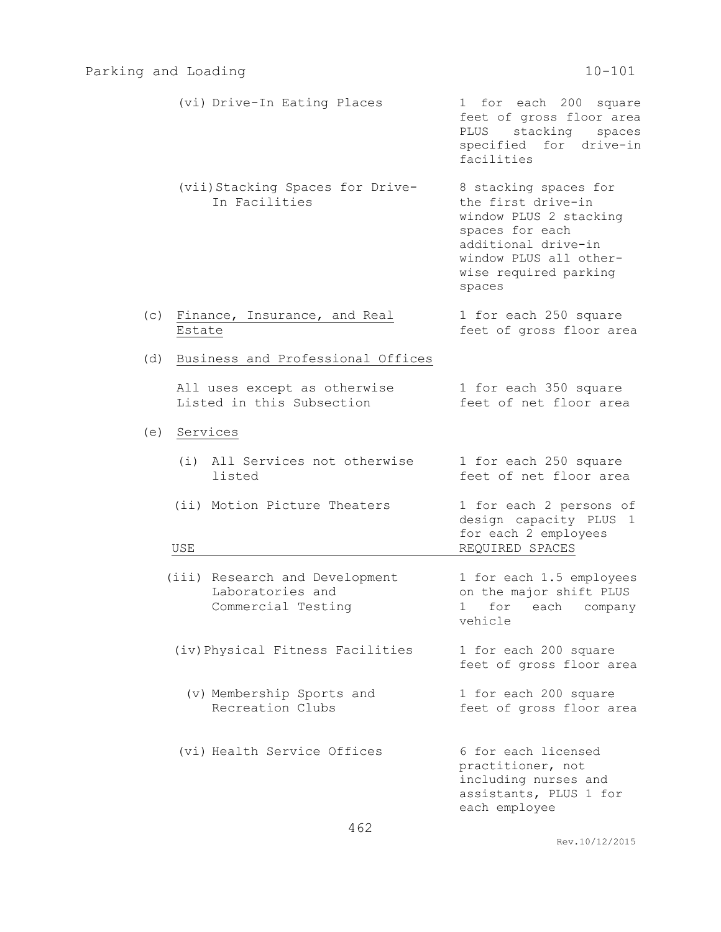| (vi) Drive-In Eating Places                                              | 1 for each 200 square<br>feet of gross floor area<br>PLUS stacking<br>spaces<br>specified for drive-in<br>facilities                                                         |
|--------------------------------------------------------------------------|------------------------------------------------------------------------------------------------------------------------------------------------------------------------------|
| (vii) Stacking Spaces for Drive-<br>In Facilities                        | 8 stacking spaces for<br>the first drive-in<br>window PLUS 2 stacking<br>spaces for each<br>additional drive-in<br>window PLUS all other-<br>wise required parking<br>spaces |
| (c)<br>Finance, Insurance, and Real<br>Estate                            | 1 for each 250 square<br>feet of gross floor area                                                                                                                            |
| Business and Professional Offices<br>(d)                                 |                                                                                                                                                                              |
| All uses except as otherwise<br>Listed in this Subsection                | 1 for each 350 square<br>feet of net floor area                                                                                                                              |
| Services<br>(e)                                                          |                                                                                                                                                                              |
| (i) All Services not otherwise<br>listed                                 | 1 for each 250 square<br>feet of net floor area                                                                                                                              |
| (ii) Motion Picture Theaters<br>USE                                      | 1 for each 2 persons of<br>design capacity PLUS 1<br>for each 2 employees<br>REQUIRED SPACES                                                                                 |
| (iii) Research and Development<br>Laboratories and<br>Commercial Testing | 1 for each 1.5 employees<br>on the major shift PLUS<br>1 for each company<br>vehicle                                                                                         |
| (iv) Physical Fitness Facilities                                         | 1 for each 200 square<br>feet of gross floor area                                                                                                                            |
| (v) Membership Sports and<br>Recreation Clubs                            | 1 for each 200 square<br>feet of gross floor area                                                                                                                            |
| (vi) Health Service Offices                                              | 6 for each licensed<br>practitioner, not<br>including nurses and<br>assistants, PLUS 1 for<br>each employee                                                                  |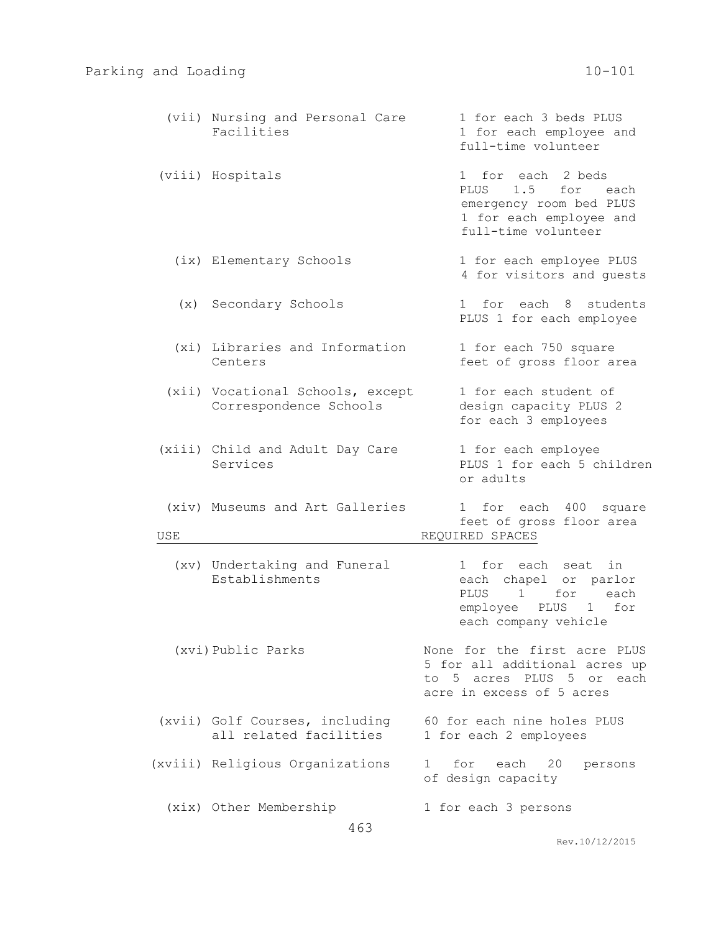|     | (vii) Nursing and Personal Care<br>Facilities              | 1 for each 3 beds PLUS<br>1 for each employee and<br>full-time volunteer                                                |  |  |  |
|-----|------------------------------------------------------------|-------------------------------------------------------------------------------------------------------------------------|--|--|--|
|     | (viii) Hospitals                                           | 1 for each 2 beds<br>1.5 for each<br>PLUS<br>emergency room bed PLUS<br>1 for each employee and<br>full-time volunteer  |  |  |  |
|     | (ix) Elementary Schools                                    | 1 for each employee PLUS<br>4 for visitors and quests                                                                   |  |  |  |
|     | (x) Secondary Schools                                      | 1 for each 8 students<br>PLUS 1 for each employee                                                                       |  |  |  |
|     | (xi) Libraries and Information<br>Centers                  | 1 for each 750 square<br>feet of gross floor area                                                                       |  |  |  |
|     | (xii) Vocational Schools, except<br>Correspondence Schools | 1 for each student of<br>design capacity PLUS 2<br>for each 3 employees                                                 |  |  |  |
|     | (xiii) Child and Adult Day Care<br>Services                | 1 for each employee<br>PLUS 1 for each 5 children<br>or adults                                                          |  |  |  |
| USE | (xiv) Museums and Art Galleries                            | 1 for each 400 square<br>feet of gross floor area<br>REQUIRED SPACES                                                    |  |  |  |
|     | (xv) Undertaking and Funeral<br>Establishments             | 1 for each seat<br>in<br>each chapel or parlor<br>PLUS 1<br>for each<br>employee PLUS 1 for<br>each company vehicle     |  |  |  |
|     | (xvi) Public Parks                                         | None for the first acre PLUS<br>5 for all additional acres up<br>to 5 acres PLUS 5 or each<br>acre in excess of 5 acres |  |  |  |
|     | (xvii) Golf Courses, including<br>all related facilities   | 60 for each nine holes PLUS<br>1 for each 2 employees                                                                   |  |  |  |
|     | (xviii) Religious Organizations                            | $1 \quad$<br>for<br>each 20<br>persons<br>of design capacity                                                            |  |  |  |
|     | (xix) Other Membership<br>463                              | 1 for each 3 persons                                                                                                    |  |  |  |

Rev.10/12/2015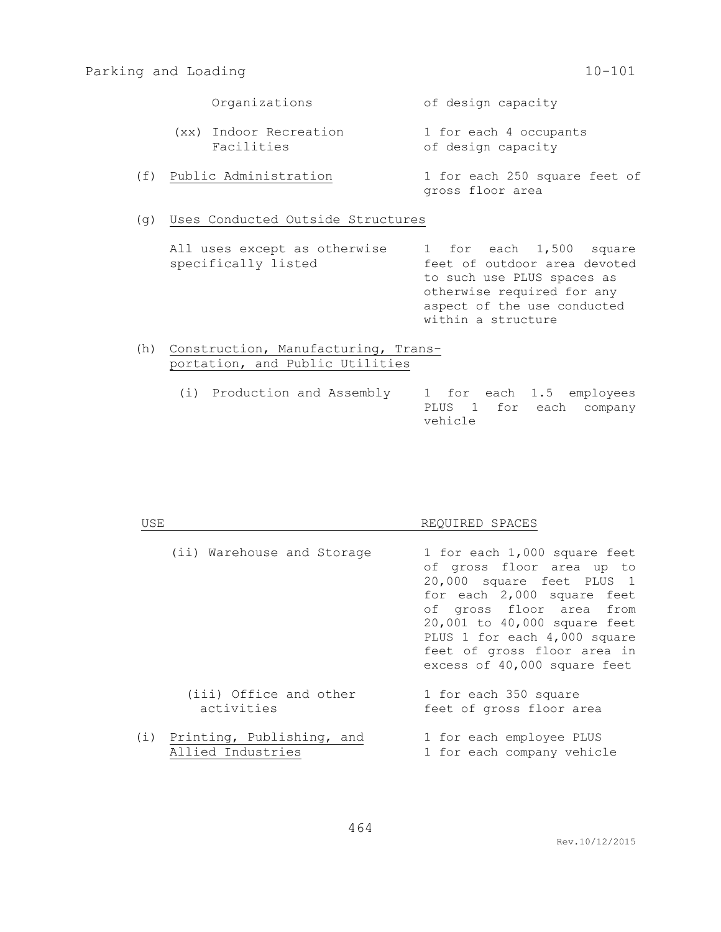Organizations of design capacity

- (xx) Indoor Recreation 1 for each 4 occupants Facilities **Exercise Setube Contract** of design capacity
- (f) Public Administration 1 for each 250 square feet of gross floor area
- (g) Uses Conducted Outside Structures

All uses except as otherwise 1 for each 1,500 square specifically listed feet of outdoor area devoted to such use PLUS spaces as otherwise required for any aspect of the use conducted within a structure

- (h) Construction, Manufacturing, Transportation, and Public Utilities
	- (i) Production and Assembly 1 for each 1.5 employees PLUS 1 for each company vehicle

| USE |                                                    | REOUIRED SPACES                                                                                                                                                                                                                                                                 |  |  |  |
|-----|----------------------------------------------------|---------------------------------------------------------------------------------------------------------------------------------------------------------------------------------------------------------------------------------------------------------------------------------|--|--|--|
|     | (ii) Warehouse and Storage                         | 1 for each 1,000 square feet<br>of gross floor area up to<br>20,000 square feet PLUS 1<br>for each 2,000 square feet<br>of gross floor area from<br>20,001 to 40,000 square feet<br>PLUS 1 for each 4,000 square<br>feet of gross floor area in<br>excess of 40,000 square feet |  |  |  |
|     | (iii) Office and other<br>activities               | 1 for each 350 square<br>feet of gross floor area                                                                                                                                                                                                                               |  |  |  |
|     | (i) Printing, Publishing, and<br>Allied Industries | 1 for each employee PLUS<br>1 for each company vehicle                                                                                                                                                                                                                          |  |  |  |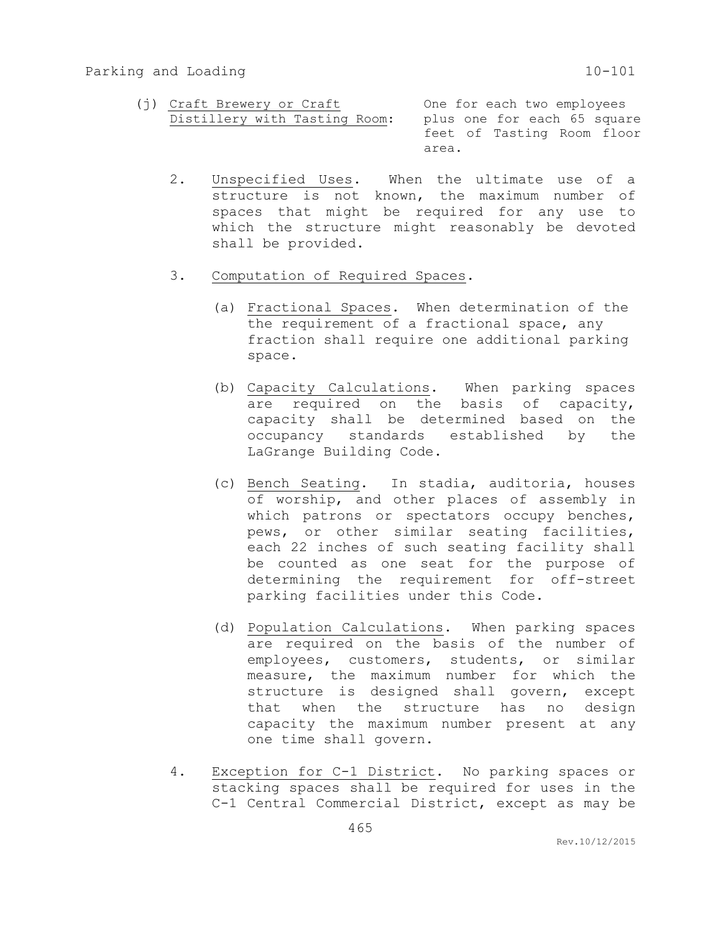- (j) Craft Brewery or Craft **One for each two employees** Distillery with Tasting Room: plus one for each 65 square feet of Tasting Room floor area.
	- 2. Unspecified Uses. When the ultimate use of a structure is not known, the maximum number of spaces that might be required for any use to which the structure might reasonably be devoted shall be provided.
	- 3. Computation of Required Spaces.
		- (a) Fractional Spaces. When determination of the the requirement of a fractional space, any fraction shall require one additional parking space.
		- (b) Capacity Calculations. When parking spaces are required on the basis of capacity, capacity shall be determined based on the occupancy standards established by the LaGrange Building Code.
		- (c) Bench Seating. In stadia, auditoria, houses of worship, and other places of assembly in which patrons or spectators occupy benches, pews, or other similar seating facilities, each 22 inches of such seating facility shall be counted as one seat for the purpose of determining the requirement for off-street parking facilities under this Code.
		- (d) Population Calculations. When parking spaces are required on the basis of the number of employees, customers, students, or similar measure, the maximum number for which the structure is designed shall govern, except that when the structure has no design capacity the maximum number present at any one time shall govern.
	- 4. Exception for C-1 District. No parking spaces or stacking spaces shall be required for uses in the C-1 Central Commercial District, except as may be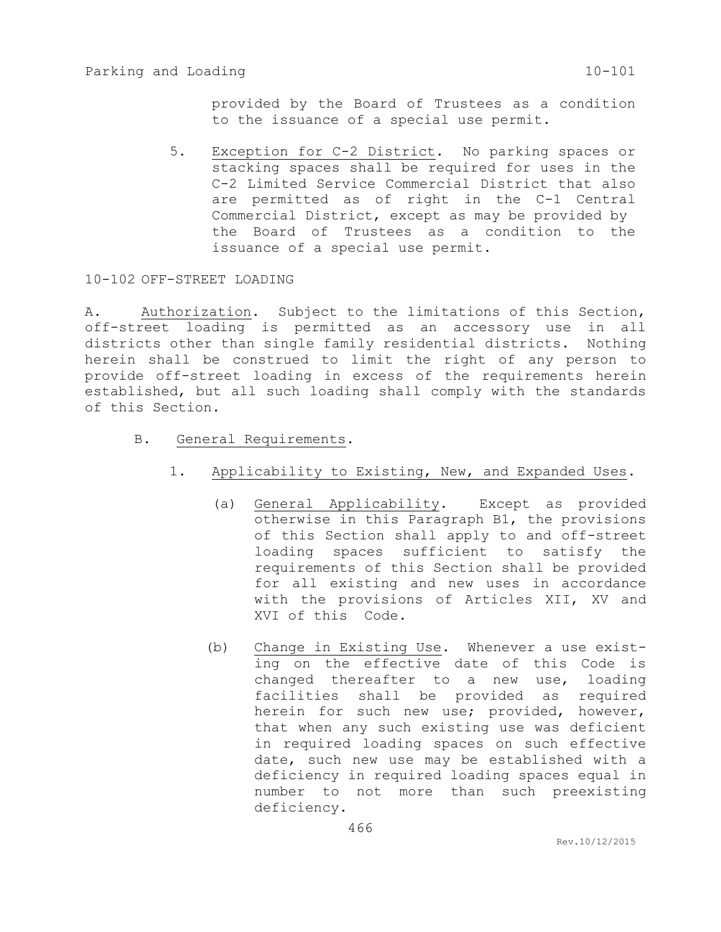provided by the Board of Trustees as a condition to the issuance of a special use permit.

5. Exception for C-2 District. No parking spaces or stacking spaces shall be required for uses in the C-2 Limited Service Commercial District that also are permitted as of right in the C-1 Central Commercial District, except as may be provided by the Board of Trustees as a condition to the issuance of a special use permit.

10-102 OFF-STREET LOADING

A. Authorization. Subject to the limitations of this Section, off-street loading is permitted as an accessory use in all districts other than single family residential districts. Nothing herein shall be construed to limit the right of any person to provide off-street loading in excess of the requirements herein established, but all such loading shall comply with the standards of this Section.

- B. General Requirements.
	- 1. Applicability to Existing, New, and Expanded Uses.
		- (a) General Applicability. Except as provided otherwise in this Paragraph B1, the provisions of this Section shall apply to and off-street loading spaces sufficient to satisfy the requirements of this Section shall be provided for all existing and new uses in accordance with the provisions of Articles XII, XV and XVI of this Code.
		- (b) Change in Existing Use. Whenever a use existing on the effective date of this Code is changed thereafter to a new use, loading facilities shall be provided as required herein for such new use; provided, however, that when any such existing use was deficient in required loading spaces on such effective date, such new use may be established with a deficiency in required loading spaces equal in number to not more than such preexisting deficiency.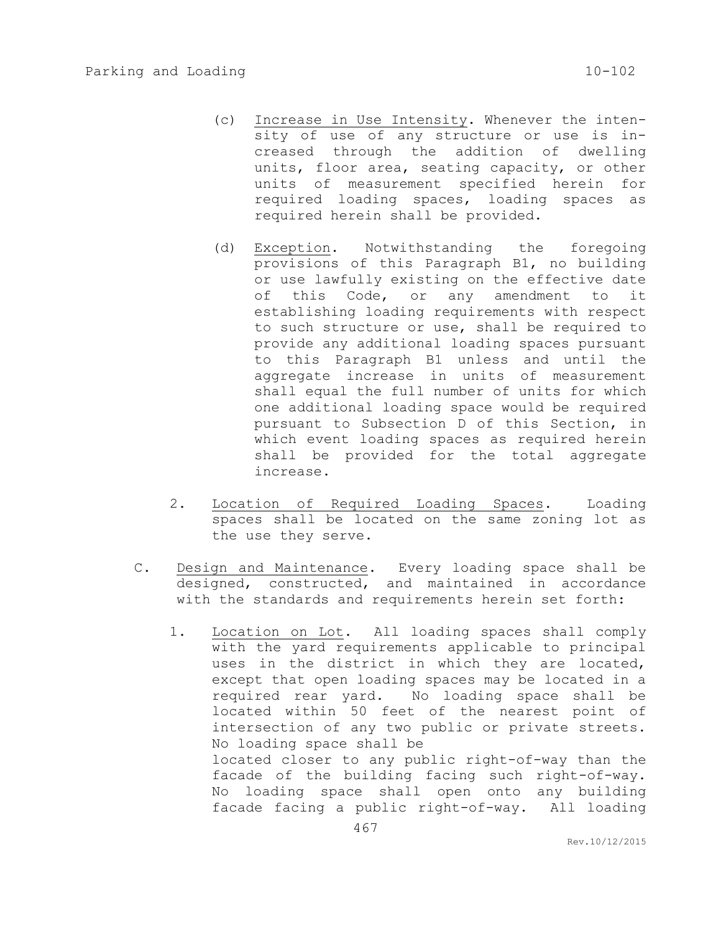- (c) Increase in Use Intensity. Whenever the intensity of use of any structure or use is increased through the addition of dwelling units, floor area, seating capacity, or other units of measurement specified herein for required loading spaces, loading spaces as required herein shall be provided.
- (d) Exception. Notwithstanding the foregoing provisions of this Paragraph B1, no building or use lawfully existing on the effective date of this Code, or any amendment to it establishing loading requirements with respect to such structure or use, shall be required to provide any additional loading spaces pursuant to this Paragraph B1 unless and until the aggregate increase in units of measurement shall equal the full number of units for which one additional loading space would be required pursuant to Subsection D of this Section, in which event loading spaces as required herein shall be provided for the total aggregate increase.
- 2. Location of Required Loading Spaces. Loading spaces shall be located on the same zoning lot as the use they serve.
- C. Design and Maintenance. Every loading space shall be designed, constructed, and maintained in accordance with the standards and requirements herein set forth:
	- 1. Location on Lot. All loading spaces shall comply with the yard requirements applicable to principal uses in the district in which they are located, except that open loading spaces may be located in a required rear yard. No loading space shall be located within 50 feet of the nearest point of intersection of any two public or private streets. No loading space shall be located closer to any public right-of-way than the facade of the building facing such right-of-way. No loading space shall open onto any building facade facing a public right-of-way. All loading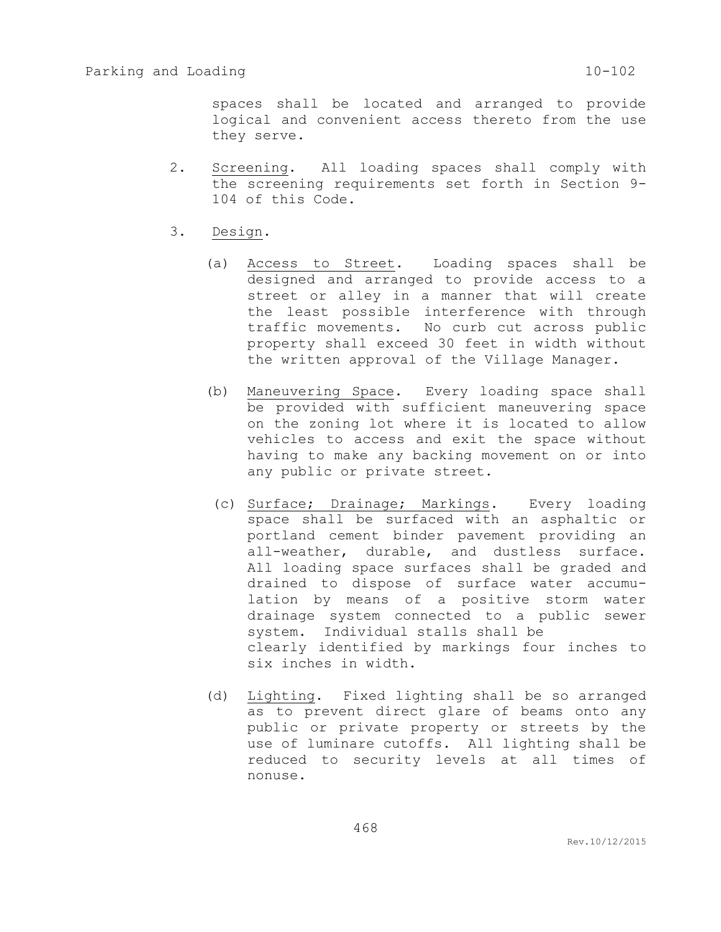spaces shall be located and arranged to provide logical and convenient access thereto from the use they serve.

- 2. Screening. All loading spaces shall comply with the screening requirements set forth in Section 9- 104 of this Code.
- 3. Design.
	- (a) Access to Street. Loading spaces shall be designed and arranged to provide access to a street or alley in a manner that will create the least possible interference with through traffic movements. No curb cut across public property shall exceed 30 feet in width without the written approval of the Village Manager.
	- (b) Maneuvering Space. Every loading space shall be provided with sufficient maneuvering space on the zoning lot where it is located to allow vehicles to access and exit the space without having to make any backing movement on or into any public or private street.
	- (c) Surface; Drainage; Markings. Every loading space shall be surfaced with an asphaltic or portland cement binder pavement providing an all-weather, durable, and dustless surface. All loading space surfaces shall be graded and drained to dispose of surface water accumulation by means of a positive storm water drainage system connected to a public sewer system. Individual stalls shall be clearly identified by markings four inches to six inches in width.
	- (d) Lighting. Fixed lighting shall be so arranged as to prevent direct glare of beams onto any public or private property or streets by the use of luminare cutoffs. All lighting shall be reduced to security levels at all times of nonuse.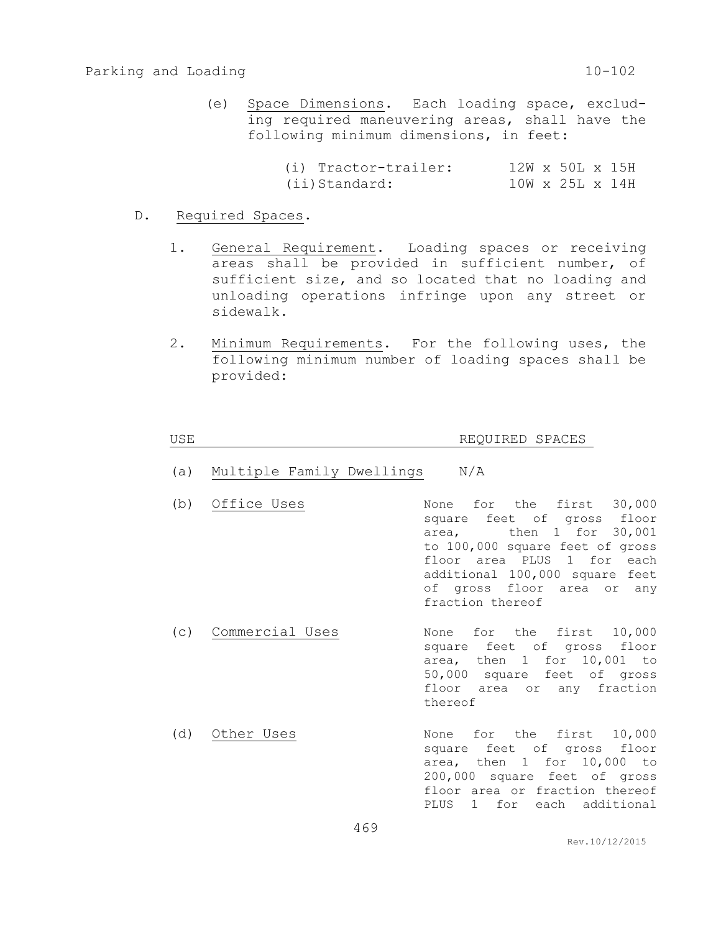(e) Space Dimensions. Each loading space, excluding required maneuvering areas, shall have the following minimum dimensions, in feet:

| (i) Tractor-trailer: |  | $12W \times 50L \times 15H$ |  |
|----------------------|--|-----------------------------|--|
| (ii)Standard:        |  | $10W \times 25L \times 14H$ |  |

- D. Required Spaces.
	- 1. General Requirement. Loading spaces or receiving areas shall be provided in sufficient number, of sufficient size, and so located that no loading and unloading operations infringe upon any street or sidewalk.
	- 2. Minimum Requirements. For the following uses, the following minimum number of loading spaces shall be provided:

## USE REQUIRED SPACES

- (a) Multiple Family Dwellings N/A
- (b) Office Uses Mone for the first 30,000 square feet of gross floor area, then 1 for 30,001 to 100,000 square feet of gross floor area PLUS 1 for each additional 100,000 square feet of gross floor area or any fraction thereof
- (c) Commercial Uses None for the first 10,000 square feet of gross floor area, then 1 for 10,001 to 50,000 square feet of gross floor area or any fraction thereof
- (d) Other Uses None for the first 10,000 square feet of gross floor area, then 1 for 10,000 to 200,000 square feet of gross floor area or fraction thereof PLUS 1 for each additional